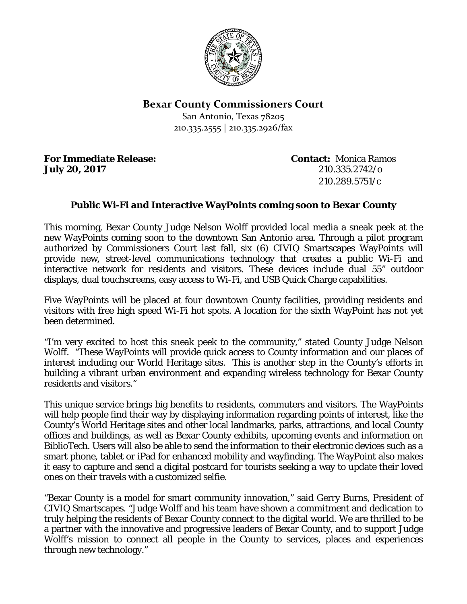

## **Bexar County Commissioners Court**

San Antonio, Texas 78205 210.335.2555 | 210.335.2926/fax

**For Immediate Release: Contact:** Monica Ramos **July 20, 2017** 210.335.2742/o

210.289.5751/c

## **Public Wi-Fi and Interactive WayPoints coming soon to Bexar County**

This morning, Bexar County Judge Nelson Wolff provided local media a sneak peek at the new WayPoints coming soon to the downtown San Antonio area. Through a pilot program authorized by Commissioners Court last fall, six (6) CIVIQ Smartscapes WayPoints will provide new, street-level communications technology that creates a public Wi-Fi and interactive network for residents and visitors. These devices include dual 55" outdoor displays, dual touchscreens, easy access to Wi-Fi, and USB Quick Charge capabilities.

Five WayPoints will be placed at four downtown County facilities, providing residents and visitors with free high speed Wi-Fi hot spots. A location for the sixth WayPoint has not yet been determined.

"I'm very excited to host this sneak peek to the community," stated County Judge Nelson Wolff. "These WayPoints will provide quick access to County information and our places of interest including our World Heritage sites. This is another step in the County's efforts in building a vibrant urban environment and expanding wireless technology for Bexar County residents and visitors."

This unique service brings big benefits to residents, commuters and visitors. The WayPoints will help people find their way by displaying information regarding points of interest, like the County's World Heritage sites and other local landmarks, parks, attractions, and local County offices and buildings, as well as Bexar County exhibits, upcoming events and information on BiblioTech. Users will also be able to send the information to their electronic devices such as a smart phone, tablet or iPad for enhanced mobility and wayfinding. The WayPoint also makes it easy to capture and send a digital postcard for tourists seeking a way to update their loved ones on their travels with a customized selfie.

"Bexar County is a model for smart community innovation," said Gerry Burns, President of CIVIQ Smartscapes. "Judge Wolff and his team have shown a commitment and dedication to truly helping the residents of Bexar County connect to the digital world. We are thrilled to be a partner with the innovative and progressive leaders of Bexar County, and to support Judge Wolff's mission to connect all people in the County to services, places and experiences through new technology."